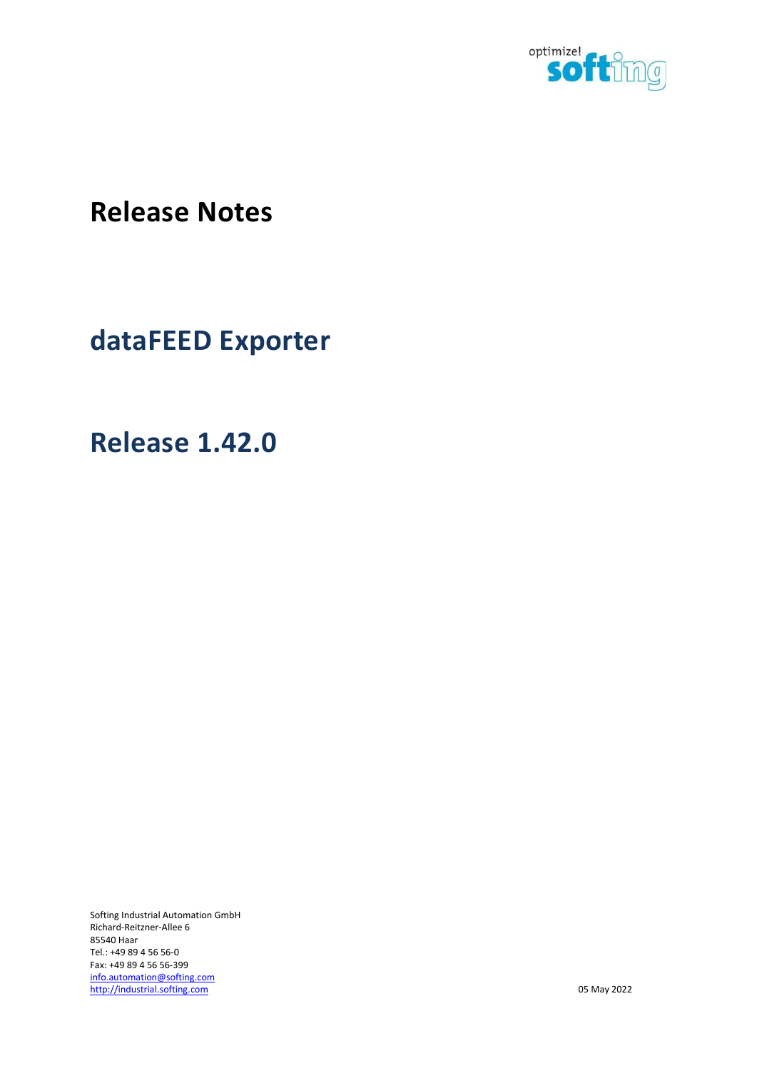

Release Notes

dataFEED Exporter

Release 1.42.0

Softing Industrial Automation GmbH Richard-Reitzner-Allee 6 85540 Haar Tel.: +49 89 4 56 56-0 Fax: +49 89 4 56 56-399 info.automation@softing.com http://industrial.softing.com 05 May 2022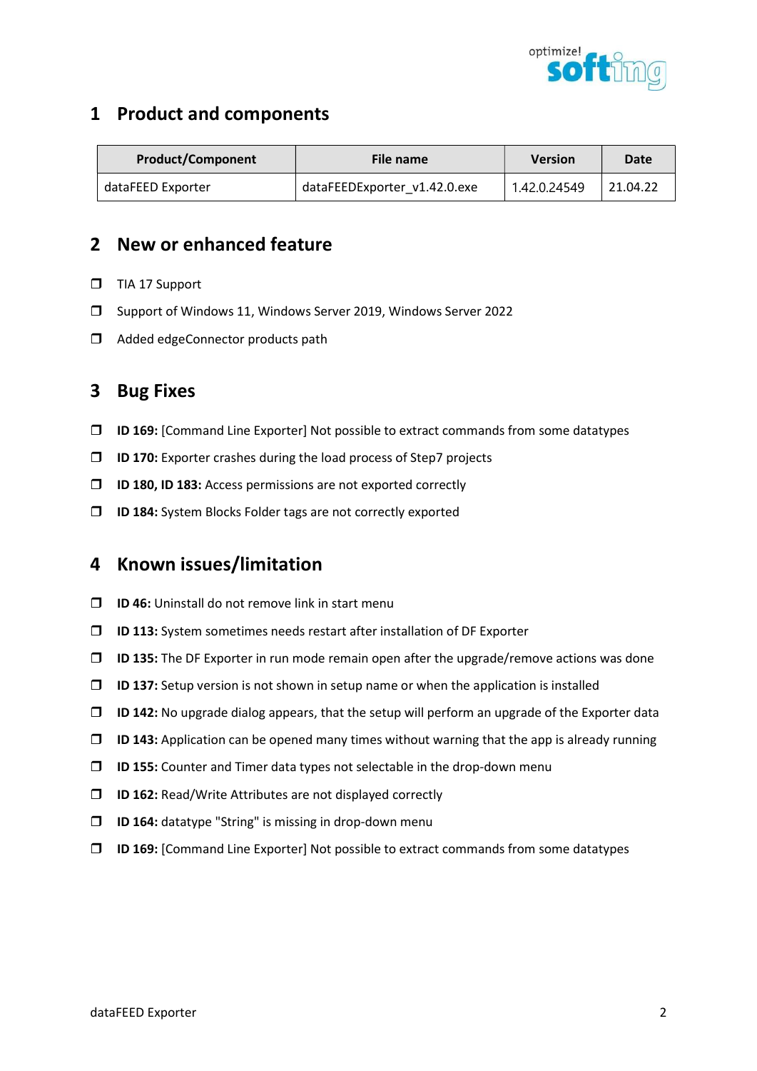

| <b>Product/Component</b> | File name                    | <b>Version</b> | Date     |
|--------------------------|------------------------------|----------------|----------|
| dataFEED Exporter        | dataFEEDExporter v1.42.0.exe | 1.42.0.24549   | 21.04.22 |

## 2 New or enhanced feature

- TIA 17 Support
- Support of Windows 11, Windows Server 2019, Windows Server 2022
- $\Box$  Added edgeConnector products path

### 3 Bug Fixes

- $\Box$  ID 169: [Command Line Exporter] Not possible to extract commands from some datatypes
- $\square$  ID 170: Exporter crashes during the load process of Step7 projects
- **ID 180, ID 183:** Access permissions are not exported correctly
- ID 184: System Blocks Folder tags are not correctly exported

- $\Box$  ID 46: Uninstall do not remove link in start menu
- $\Box$  ID 113: System sometimes needs restart after installation of DF Exporter
- $\Box$  ID 135: The DF Exporter in run mode remain open after the upgrade/remove actions was done
- $\Box$  ID 137: Setup version is not shown in setup name or when the application is installed
- $\Box$  ID 142: No upgrade dialog appears, that the setup will perform an upgrade of the Exporter data
- $\Box$  ID 143: Application can be opened many times without warning that the app is already running
- $\Box$  ID 155: Counter and Timer data types not selectable in the drop-down menu
- $\Box$  ID 162: Read/Write Attributes are not displayed correctly
- $\square$  ID 164: datatype "String" is missing in drop-down menu
- $\Box$  ID 169: [Command Line Exporter] Not possible to extract commands from some datatypes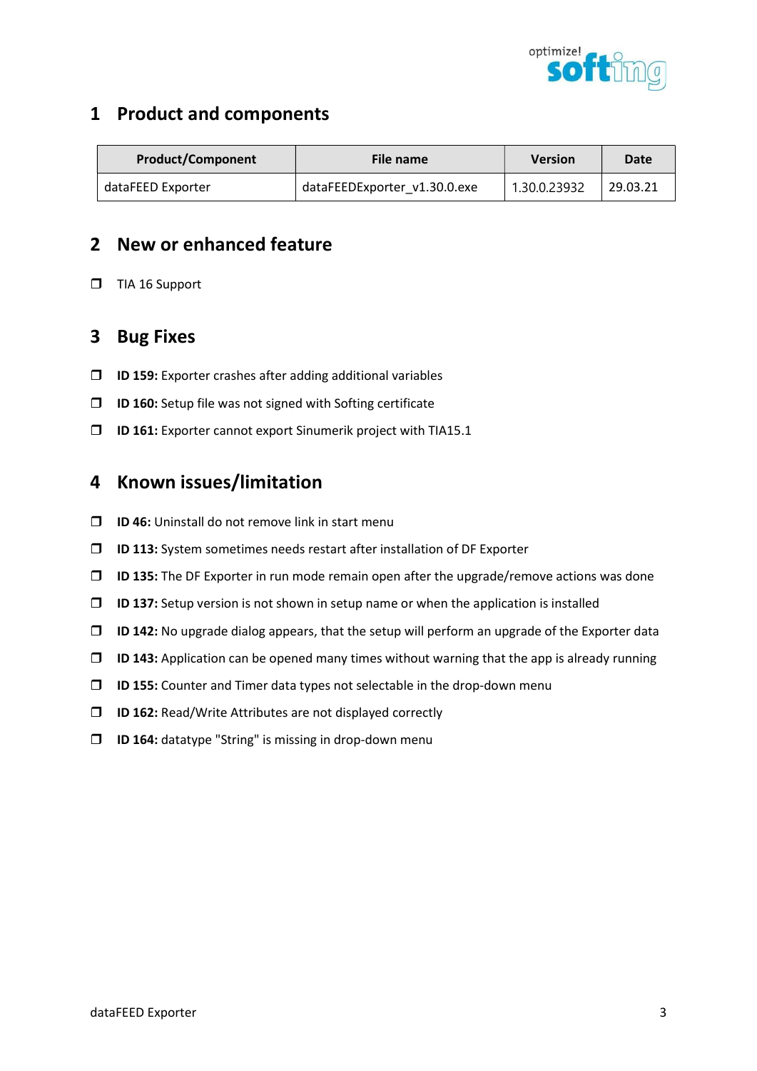

| <b>Product/Component</b> | File name                    | <b>Version</b> | Date     |
|--------------------------|------------------------------|----------------|----------|
| dataFEED Exporter        | dataFEEDExporter v1.30.0.exe | 1.30.0.23932   | 29.03.21 |

## 2 New or enhanced feature

 $\Box$  TIA 16 Support

#### 3 Bug Fixes

- $\square$  ID 159: Exporter crashes after adding additional variables
- $\square$  ID 160: Setup file was not signed with Softing certificate
- $\square$  ID 161: Exporter cannot export Sinumerik project with TIA15.1

- $\Box$  ID 46: Uninstall do not remove link in start menu
- $\Box$  ID 113: System sometimes needs restart after installation of DF Exporter
- $\Box$  ID 135: The DF Exporter in run mode remain open after the upgrade/remove actions was done
- $\Box$  ID 137: Setup version is not shown in setup name or when the application is installed
- $\Box$  ID 142: No upgrade dialog appears, that the setup will perform an upgrade of the Exporter data
- $\Box$  ID 143: Application can be opened many times without warning that the app is already running
- $\Box$  ID 155: Counter and Timer data types not selectable in the drop-down menu
- $\square$  ID 162: Read/Write Attributes are not displayed correctly
- □ **ID 164:** datatype "String" is missing in drop-down menu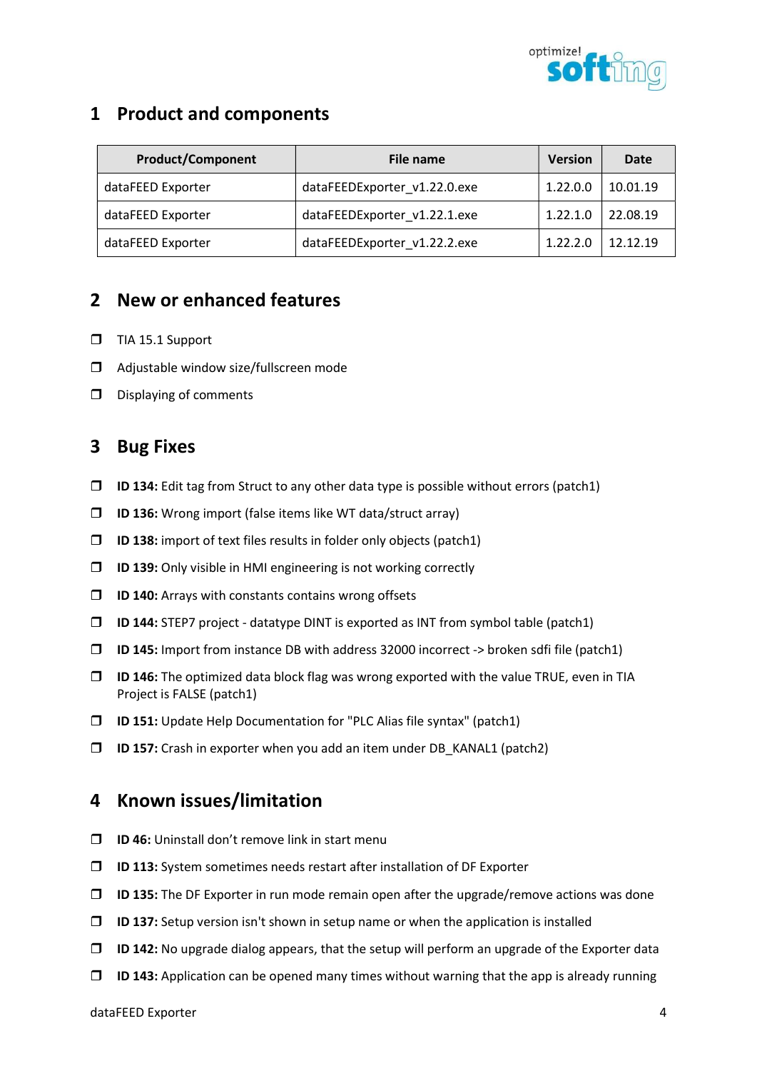

| <b>Product/Component</b> | File name                    | <b>Version</b> | Date     |
|--------------------------|------------------------------|----------------|----------|
| dataFEED Exporter        | dataFEEDExporter v1.22.0.exe | 1.22.0.0       | 10.01.19 |
| dataFEED Exporter        | dataFEEDExporter v1.22.1.exe | 1.22.1.0       | 22.08.19 |
| dataFEED Exporter        | dataFEEDExporter v1.22.2.exe | 1.22.2.0       | 12.12.19 |

# 2 New or enhanced features

- $\Box$  TIA 15.1 Support
- □ Adjustable window size/fullscreen mode
- D Displaying of comments

#### 3 Bug Fixes

- $\Box$  ID 134: Edit tag from Struct to any other data type is possible without errors (patch1)
- $\square$  ID 136: Wrong import (false items like WT data/struct array)
- $\Box$  ID 138: import of text files results in folder only objects (patch1)
- $\Box$  ID 139: Only visible in HMI engineering is not working correctly
- $\Box$  ID 140: Arrays with constants contains wrong offsets
- $\square$  ID 144: STEP7 project datatype DINT is exported as INT from symbol table (patch1)
- $\Box$  ID 145: Import from instance DB with address 32000 incorrect -> broken sdfi file (patch1)
- $\Box$  ID 146: The optimized data block flag was wrong exported with the value TRUE, even in TIA Project is FALSE (patch1)
- $\Box$  ID 151: Update Help Documentation for "PLC Alias file syntax" (patch1)
- $\Box$  ID 157: Crash in exporter when you add an item under DB\_KANAL1 (patch2)

- $\Box$  ID 46: Uninstall don't remove link in start menu
- $\Box$  ID 113: System sometimes needs restart after installation of DF Exporter
- $\Box$  ID 135: The DF Exporter in run mode remain open after the upgrade/remove actions was done
- $\Box$  ID 137: Setup version isn't shown in setup name or when the application is installed
- $\Box$  ID 142: No upgrade dialog appears, that the setup will perform an upgrade of the Exporter data
- $\Box$  ID 143: Application can be opened many times without warning that the app is already running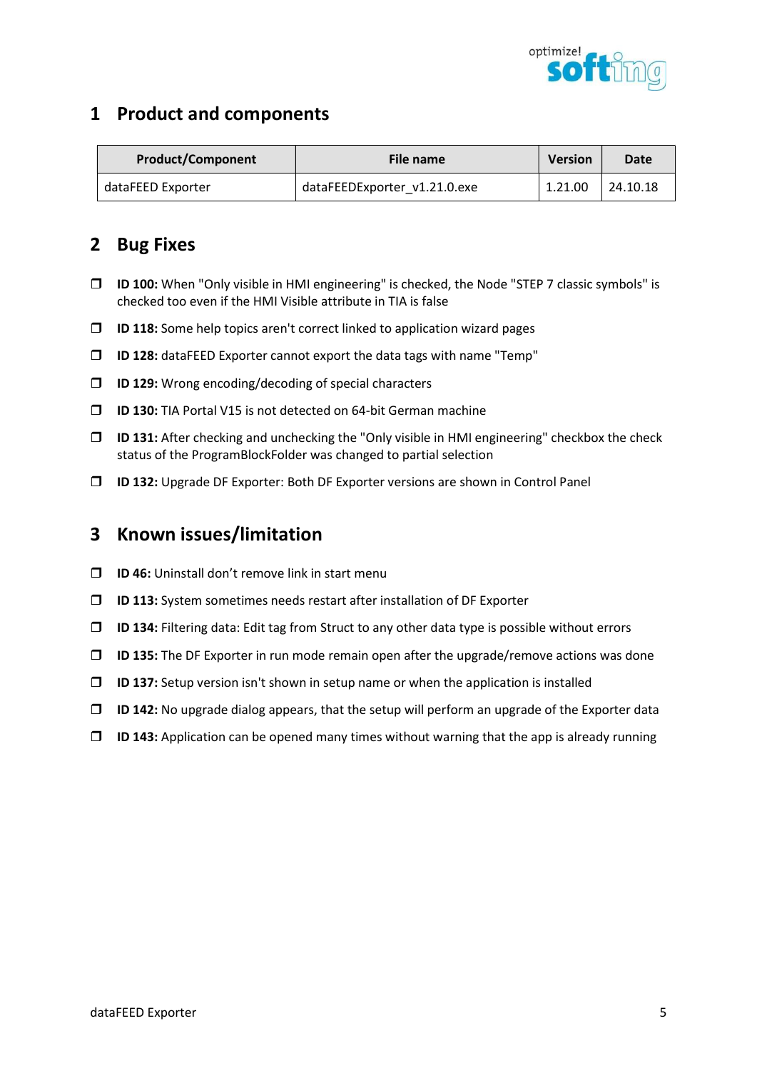

| <b>Product/Component</b> | File name                    | <b>Version</b> | Date     |
|--------------------------|------------------------------|----------------|----------|
| dataFEED Exporter        | dataFEEDExporter v1.21.0.exe | 1.21.00        | 24.10.18 |

# 2 Bug Fixes

- ID 100: When "Only visible in HMI engineering" is checked, the Node "STEP 7 classic symbols" is checked too even if the HMI Visible attribute in TIA is false
- $\Box$  ID 118: Some help topics aren't correct linked to application wizard pages
- $\Box$  ID 128: dataFEED Exporter cannot export the data tags with name "Temp"
- $\Box$  ID 129: Wrong encoding/decoding of special characters
- **ID 130:** TIA Portal V15 is not detected on 64-bit German machine
- $\Box$  ID 131: After checking and unchecking the "Only visible in HMI engineering" checkbox the check status of the ProgramBlockFolder was changed to partial selection
- ID 132: Upgrade DF Exporter: Both DF Exporter versions are shown in Control Panel

- $\Box$  ID 46: Uninstall don't remove link in start menu
- $\Box$  ID 113: System sometimes needs restart after installation of DF Exporter
- $\Box$  ID 134: Filtering data: Edit tag from Struct to any other data type is possible without errors
- $\Box$  ID 135: The DF Exporter in run mode remain open after the upgrade/remove actions was done
- $\Box$  ID 137: Setup version isn't shown in setup name or when the application is installed
- $\Box$  ID 142: No upgrade dialog appears, that the setup will perform an upgrade of the Exporter data
- $\Box$  ID 143: Application can be opened many times without warning that the app is already running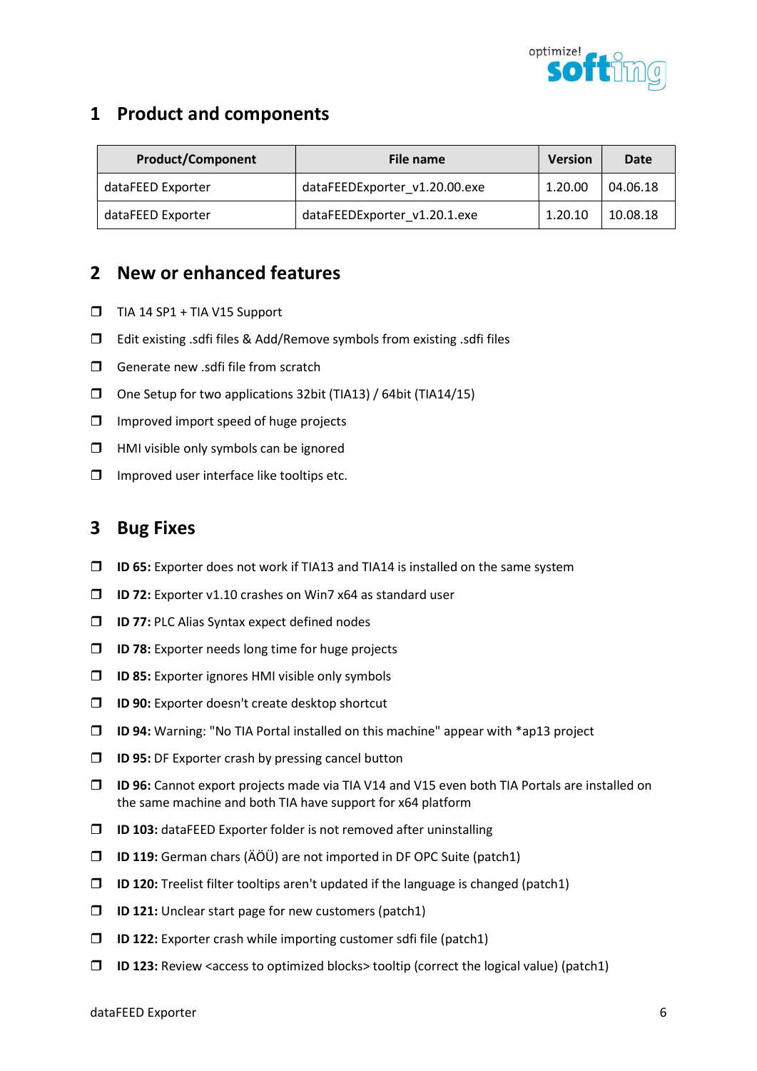

| <b>Product/Component</b> | File name                     | <b>Version</b> | Date     |
|--------------------------|-------------------------------|----------------|----------|
| dataFEED Exporter        | dataFEEDExporter v1.20.00.exe | 1.20.00        | 04.06.18 |
| dataFEED Exporter        | dataFEEDExporter v1.20.1.exe  | 1.20.10        | 10.08.18 |

## 2 New or enhanced features

- $\Box$  TIA 14 SP1 + TIA V15 Support
- Edit existing .sdfi files & Add/Remove symbols from existing .sdfi files
- $\Box$  Generate new .sdfi file from scratch
- One Setup for two applications 32bit (TIA13) / 64bit (TIA14/15)
- $\Box$  Improved import speed of huge projects
- $\Box$  HMI visible only symbols can be ignored
- $\Box$  Improved user interface like tooltips etc.

### 3 Bug Fixes

- $\Box$  ID 65: Exporter does not work if TIA13 and TIA14 is installed on the same system
- $\square$  ID 72: Exporter v1.10 crashes on Win7 x64 as standard user
- $\Box$  ID 77: PLC Alias Syntax expect defined nodes
- $\Box$  ID 78: Exporter needs long time for huge projects
- $\Box$  ID 85: Exporter ignores HMI visible only symbols
- $\Box$  ID 90: Exporter doesn't create desktop shortcut
- $\Box$  ID 94: Warning: "No TIA Portal installed on this machine" appear with \*ap13 project
- $\Box$  ID 95: DF Exporter crash by pressing cancel button
- ID 96: Cannot export projects made via TIA V14 and V15 even both TIA Portals are installed on the same machine and both TIA have support for x64 platform
- $\square$  ID 103: dataFEED Exporter folder is not removed after uninstalling
- $\Box$  ID 119: German chars (ÄÖÜ) are not imported in DF OPC Suite (patch1)
- $\Box$  ID 120: Treelist filter tooltips aren't updated if the language is changed (patch1)
- $\Box$  ID 121: Unclear start page for new customers (patch1)
- $\Box$  ID 122: Exporter crash while importing customer sdfi file (patch1)
- $\Box$  ID 123: Review <access to optimized blocks> tooltip (correct the logical value) (patch1)